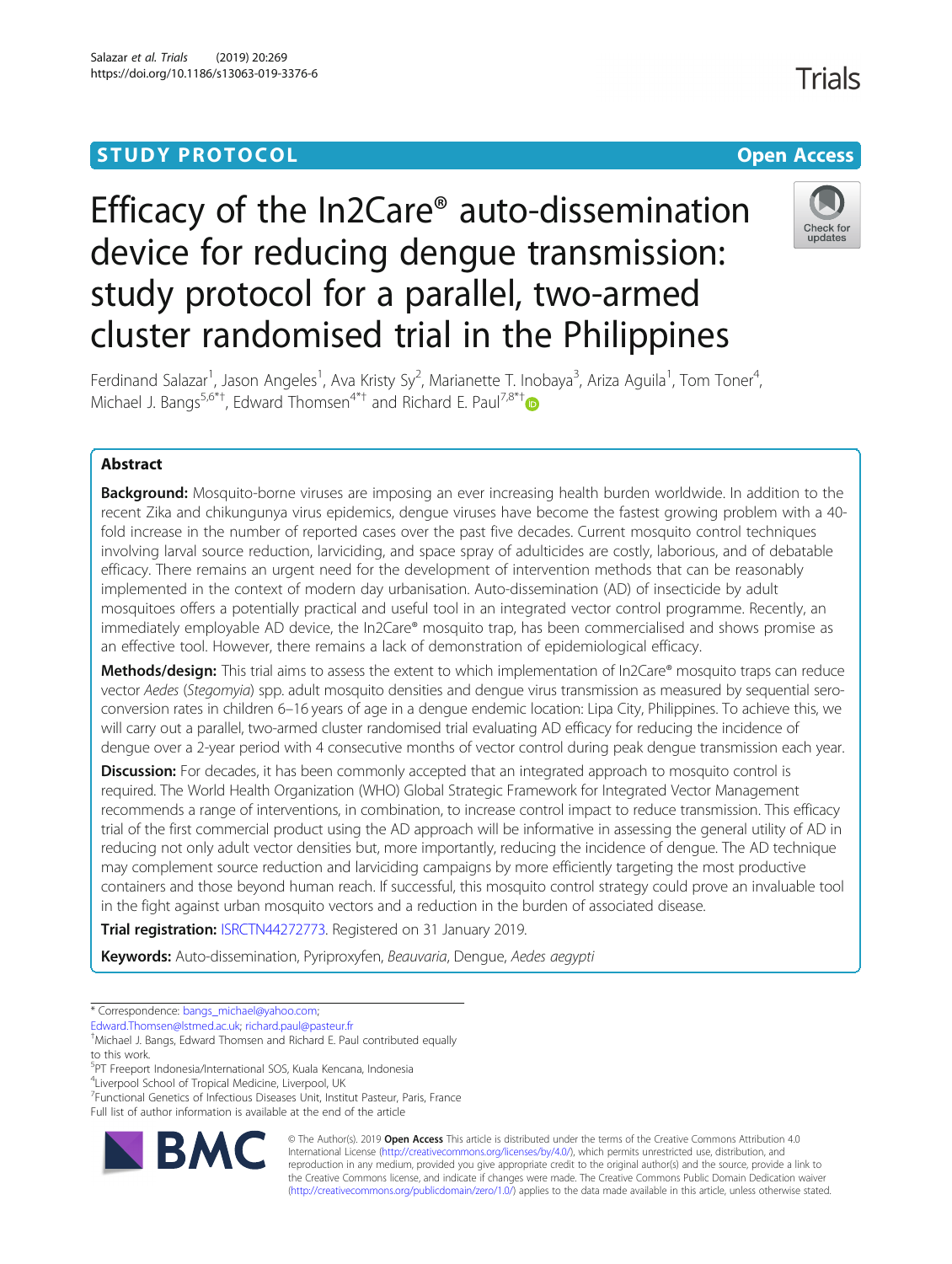# **STUDY PROTOCOL CONSUMING THE CONSUMING OPEN ACCESS**

Efficacy of the In2Care® auto-dissemination device for reducing dengue transmission: study protocol for a parallel, two-armed

Ferdinand Salazar<sup>1</sup>, Jason Angeles<sup>1</sup>, Ava Kristy Sy<sup>2</sup>, Marianette T. Inobaya<sup>3</sup>, Ariza Aguila<sup>1</sup>, Tom Toner<sup>4</sup> , Michael J. Bangs<sup>5,6\*†</sup>, Edward Thomsen<sup>4\*†</sup> and Richard E. Paul<sup>7,8\*†</sup>

cluster randomised trial in the Philippines

## Abstract

**Background:** Mosquito-borne viruses are imposing an ever increasing health burden worldwide. In addition to the recent Zika and chikungunya virus epidemics, dengue viruses have become the fastest growing problem with a 40 fold increase in the number of reported cases over the past five decades. Current mosquito control techniques involving larval source reduction, larviciding, and space spray of adulticides are costly, laborious, and of debatable efficacy. There remains an urgent need for the development of intervention methods that can be reasonably implemented in the context of modern day urbanisation. Auto-dissemination (AD) of insecticide by adult mosquitoes offers a potentially practical and useful tool in an integrated vector control programme. Recently, an immediately employable AD device, the In2Care® mosquito trap, has been commercialised and shows promise as an effective tool. However, there remains a lack of demonstration of epidemiological efficacy.

Methods/design: This trial aims to assess the extent to which implementation of In2Care® mosquito traps can reduce vector Aedes (Stegomyia) spp. adult mosquito densities and dengue virus transmission as measured by sequential seroconversion rates in children 6–16 years of age in a dengue endemic location: Lipa City, Philippines. To achieve this, we will carry out a parallel, two-armed cluster randomised trial evaluating AD efficacy for reducing the incidence of dengue over a 2-year period with 4 consecutive months of vector control during peak dengue transmission each year.

**Discussion:** For decades, it has been commonly accepted that an integrated approach to mosquito control is required. The World Health Organization (WHO) Global Strategic Framework for Integrated Vector Management recommends a range of interventions, in combination, to increase control impact to reduce transmission. This efficacy trial of the first commercial product using the AD approach will be informative in assessing the general utility of AD in reducing not only adult vector densities but, more importantly, reducing the incidence of dengue. The AD technique may complement source reduction and larviciding campaigns by more efficiently targeting the most productive containers and those beyond human reach. If successful, this mosquito control strategy could prove an invaluable tool in the fight against urban mosquito vectors and a reduction in the burden of associated disease.

Trial registration: [ISRCTN44272773.](http://www.isrctn.com/ISRCTN44272773) Registered on 31 January 2019.

Keywords: Auto-dissemination, Pyriproxyfen, Beauvaria, Denque, Aedes aegypti

\* Correspondence: [bangs\\_michael@yahoo.com;](mailto:bangs_michael@yahoo.com)

Michael J. Bangs, Edward Thomsen and Richard E. Paul contributed equally

Full list of author information is available at the end of the article



© The Author(s). 2019 **Open Access** This article is distributed under the terms of the Creative Commons Attribution 4.0 International License [\(http://creativecommons.org/licenses/by/4.0/](http://creativecommons.org/licenses/by/4.0/)), which permits unrestricted use, distribution, and reproduction in any medium, provided you give appropriate credit to the original author(s) and the source, provide a link to the Creative Commons license, and indicate if changes were made. The Creative Commons Public Domain Dedication waiver [\(http://creativecommons.org/publicdomain/zero/1.0/](http://creativecommons.org/publicdomain/zero/1.0/)) applies to the data made available in this article, unless otherwise stated.





[Edward.Thomsen@lstmed.ac.uk](mailto:Edward.Thomsen@lstmed.ac.uk); [richard.paul@pasteur.fr](mailto:richard.paul@pasteur.fr) †

to this work.

<sup>5</sup> PT Freeport Indonesia/International SOS, Kuala Kencana, Indonesia

<sup>4</sup> Liverpool School of Tropical Medicine, Liverpool, UK

<sup>&</sup>lt;sup>7</sup> Functional Genetics of Infectious Diseases Unit, Institut Pasteur, Paris, France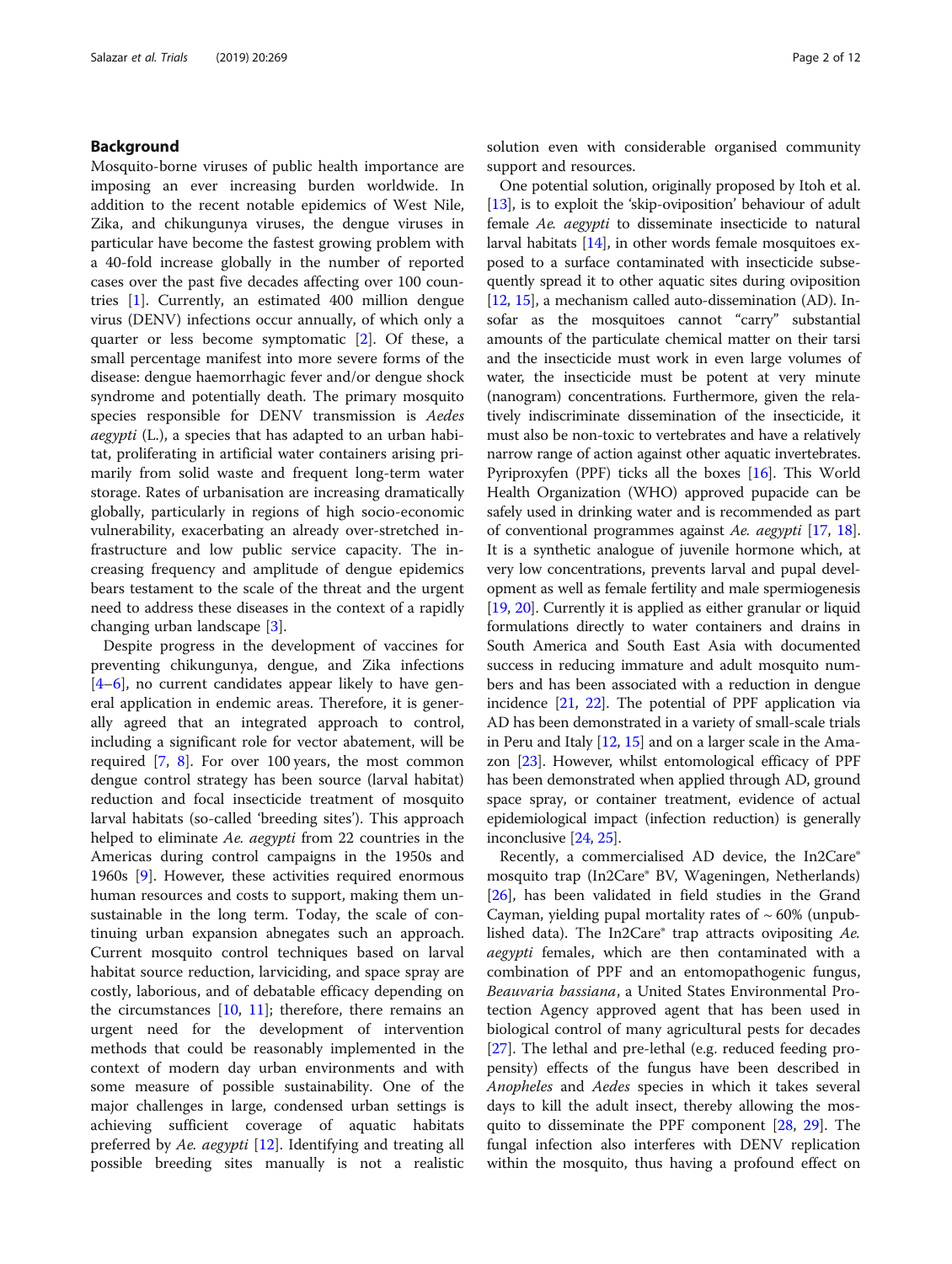## Background

Mosquito-borne viruses of public health importance are imposing an ever increasing burden worldwide. In addition to the recent notable epidemics of West Nile, Zika, and chikungunya viruses, the dengue viruses in particular have become the fastest growing problem with a 40-fold increase globally in the number of reported cases over the past five decades affecting over 100 countries [\[1\]](#page-10-0). Currently, an estimated 400 million dengue virus (DENV) infections occur annually, of which only a quarter or less become symptomatic [\[2](#page-10-0)]. Of these, a small percentage manifest into more severe forms of the disease: dengue haemorrhagic fever and/or dengue shock syndrome and potentially death. The primary mosquito species responsible for DENV transmission is Aedes aegypti (L.), a species that has adapted to an urban habitat, proliferating in artificial water containers arising primarily from solid waste and frequent long-term water storage. Rates of urbanisation are increasing dramatically globally, particularly in regions of high socio-economic vulnerability, exacerbating an already over-stretched infrastructure and low public service capacity. The increasing frequency and amplitude of dengue epidemics bears testament to the scale of the threat and the urgent need to address these diseases in the context of a rapidly changing urban landscape [\[3](#page-10-0)].

Despite progress in the development of vaccines for preventing chikungunya, dengue, and Zika infections [[4](#page-10-0)–[6\]](#page-10-0), no current candidates appear likely to have general application in endemic areas. Therefore, it is generally agreed that an integrated approach to control, including a significant role for vector abatement, will be required [\[7,](#page-10-0) [8\]](#page-10-0). For over 100 years, the most common dengue control strategy has been source (larval habitat) reduction and focal insecticide treatment of mosquito larval habitats (so-called 'breeding sites'). This approach helped to eliminate Ae. aegypti from 22 countries in the Americas during control campaigns in the 1950s and 1960s [[9\]](#page-10-0). However, these activities required enormous human resources and costs to support, making them unsustainable in the long term. Today, the scale of continuing urban expansion abnegates such an approach. Current mosquito control techniques based on larval habitat source reduction, larviciding, and space spray are costly, laborious, and of debatable efficacy depending on the circumstances  $[10, 11]$  $[10, 11]$  $[10, 11]$ ; therefore, there remains an urgent need for the development of intervention methods that could be reasonably implemented in the context of modern day urban environments and with some measure of possible sustainability. One of the major challenges in large, condensed urban settings is achieving sufficient coverage of aquatic habitats preferred by Ae. aegypti [[12\]](#page-10-0). Identifying and treating all possible breeding sites manually is not a realistic solution even with considerable organised community support and resources.

One potential solution, originally proposed by Itoh et al. [[13](#page-10-0)], is to exploit the 'skip-oviposition' behaviour of adult female Ae. aegypti to disseminate insecticide to natural larval habitats [\[14\]](#page-10-0), in other words female mosquitoes exposed to a surface contaminated with insecticide subsequently spread it to other aquatic sites during oviposition [[12](#page-10-0), [15\]](#page-10-0), a mechanism called auto-dissemination (AD). Insofar as the mosquitoes cannot "carry" substantial amounts of the particulate chemical matter on their tarsi and the insecticide must work in even large volumes of water, the insecticide must be potent at very minute (nanogram) concentrations. Furthermore, given the relatively indiscriminate dissemination of the insecticide, it must also be non-toxic to vertebrates and have a relatively narrow range of action against other aquatic invertebrates. Pyriproxyfen (PPF) ticks all the boxes [\[16\]](#page-11-0). This World Health Organization (WHO) approved pupacide can be safely used in drinking water and is recommended as part of conventional programmes against Ae. aegypti [\[17,](#page-11-0) [18](#page-11-0)]. It is a synthetic analogue of juvenile hormone which, at very low concentrations, prevents larval and pupal development as well as female fertility and male spermiogenesis [[19](#page-11-0), [20](#page-11-0)]. Currently it is applied as either granular or liquid formulations directly to water containers and drains in South America and South East Asia with documented success in reducing immature and adult mosquito numbers and has been associated with a reduction in dengue incidence [\[21,](#page-11-0) [22](#page-11-0)]. The potential of PPF application via AD has been demonstrated in a variety of small-scale trials in Peru and Italy [\[12](#page-10-0), [15](#page-10-0)] and on a larger scale in the Amazon [[23](#page-11-0)]. However, whilst entomological efficacy of PPF has been demonstrated when applied through AD, ground space spray, or container treatment, evidence of actual epidemiological impact (infection reduction) is generally inconclusive [[24](#page-11-0), [25\]](#page-11-0).

Recently, a commercialised AD device, the In2Care® mosquito trap (In2Care® BV, Wageningen, Netherlands) [[26\]](#page-11-0), has been validated in field studies in the Grand Cayman, yielding pupal mortality rates of  $\sim 60\%$  (unpublished data). The In2Care® trap attracts ovipositing Ae. aegypti females, which are then contaminated with a combination of PPF and an entomopathogenic fungus, Beauvaria bassiana, a United States Environmental Protection Agency approved agent that has been used in biological control of many agricultural pests for decades [[27\]](#page-11-0). The lethal and pre-lethal (e.g. reduced feeding propensity) effects of the fungus have been described in Anopheles and Aedes species in which it takes several days to kill the adult insect, thereby allowing the mosquito to disseminate the PPF component [[28](#page-11-0), [29\]](#page-11-0). The fungal infection also interferes with DENV replication within the mosquito, thus having a profound effect on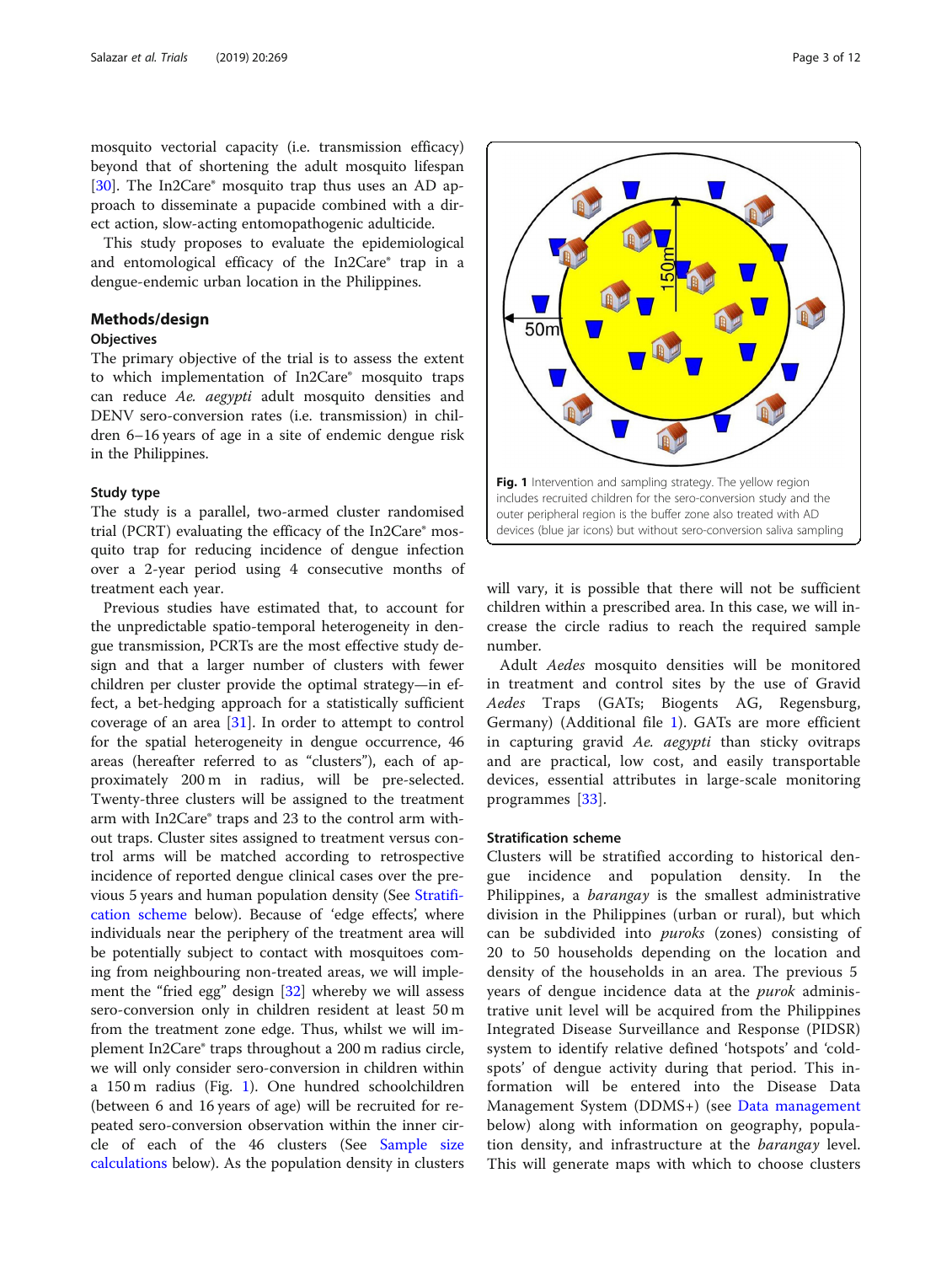mosquito vectorial capacity (i.e. transmission efficacy) beyond that of shortening the adult mosquito lifespan [[30\]](#page-11-0). The In2Care<sup>®</sup> mosquito trap thus uses an AD approach to disseminate a pupacide combined with a direct action, slow-acting entomopathogenic adulticide.

This study proposes to evaluate the epidemiological and entomological efficacy of the In2Care® trap in a dengue-endemic urban location in the Philippines.

## Methods/design

## **Objectives**

The primary objective of the trial is to assess the extent to which implementation of In2Care® mosquito traps can reduce Ae. aegypti adult mosquito densities and DENV sero-conversion rates (i.e. transmission) in children 6–16 years of age in a site of endemic dengue risk in the Philippines.

#### Study type

The study is a parallel, two-armed cluster randomised trial (PCRT) evaluating the efficacy of the In2Care® mosquito trap for reducing incidence of dengue infection over a 2-year period using 4 consecutive months of treatment each year.

Previous studies have estimated that, to account for the unpredictable spatio-temporal heterogeneity in dengue transmission, PCRTs are the most effective study design and that a larger number of clusters with fewer children per cluster provide the optimal strategy—in effect, a bet-hedging approach for a statistically sufficient coverage of an area  $[31]$  $[31]$ . In order to attempt to control for the spatial heterogeneity in dengue occurrence, 46 areas (hereafter referred to as "clusters"), each of approximately 200 m in radius, will be pre-selected. Twenty-three clusters will be assigned to the treatment arm with In2Care® traps and 23 to the control arm without traps. Cluster sites assigned to treatment versus control arms will be matched according to retrospective incidence of reported dengue clinical cases over the previous 5 years and human population density (See Stratification scheme below). Because of 'edge effects', where individuals near the periphery of the treatment area will be potentially subject to contact with mosquitoes coming from neighbouring non-treated areas, we will implement the "fried egg" design [[32](#page-11-0)] whereby we will assess sero-conversion only in children resident at least 50 m from the treatment zone edge. Thus, whilst we will implement In2Care® traps throughout a 200 m radius circle, we will only consider sero-conversion in children within a 150 m radius (Fig. 1). One hundred schoolchildren (between 6 and 16 years of age) will be recruited for repeated sero-conversion observation within the inner circle of each of the 46 clusters (See [Sample size](#page-3-0) [calculations](#page-3-0) below). As the population density in clusters



will vary, it is possible that there will not be sufficient children within a prescribed area. In this case, we will increase the circle radius to reach the required sample number.

Adult Aedes mosquito densities will be monitored in treatment and control sites by the use of Gravid Aedes Traps (GATs; Biogents AG, Regensburg, Germany) (Additional file [1](#page-9-0)). GATs are more efficient in capturing gravid Ae. aegypti than sticky ovitraps and are practical, low cost, and easily transportable devices, essential attributes in large-scale monitoring programmes [\[33](#page-11-0)].

#### Stratification scheme

Clusters will be stratified according to historical dengue incidence and population density. In the Philippines, a *barangay* is the smallest administrative division in the Philippines (urban or rural), but which can be subdivided into puroks (zones) consisting of 20 to 50 households depending on the location and density of the households in an area. The previous 5 years of dengue incidence data at the purok administrative unit level will be acquired from the Philippines Integrated Disease Surveillance and Response (PIDSR) system to identify relative defined 'hotspots' and 'coldspots' of dengue activity during that period. This information will be entered into the Disease Data Management System (DDMS+) (see [Data management](#page-6-0) below) along with information on geography, population density, and infrastructure at the *barangay* level. This will generate maps with which to choose clusters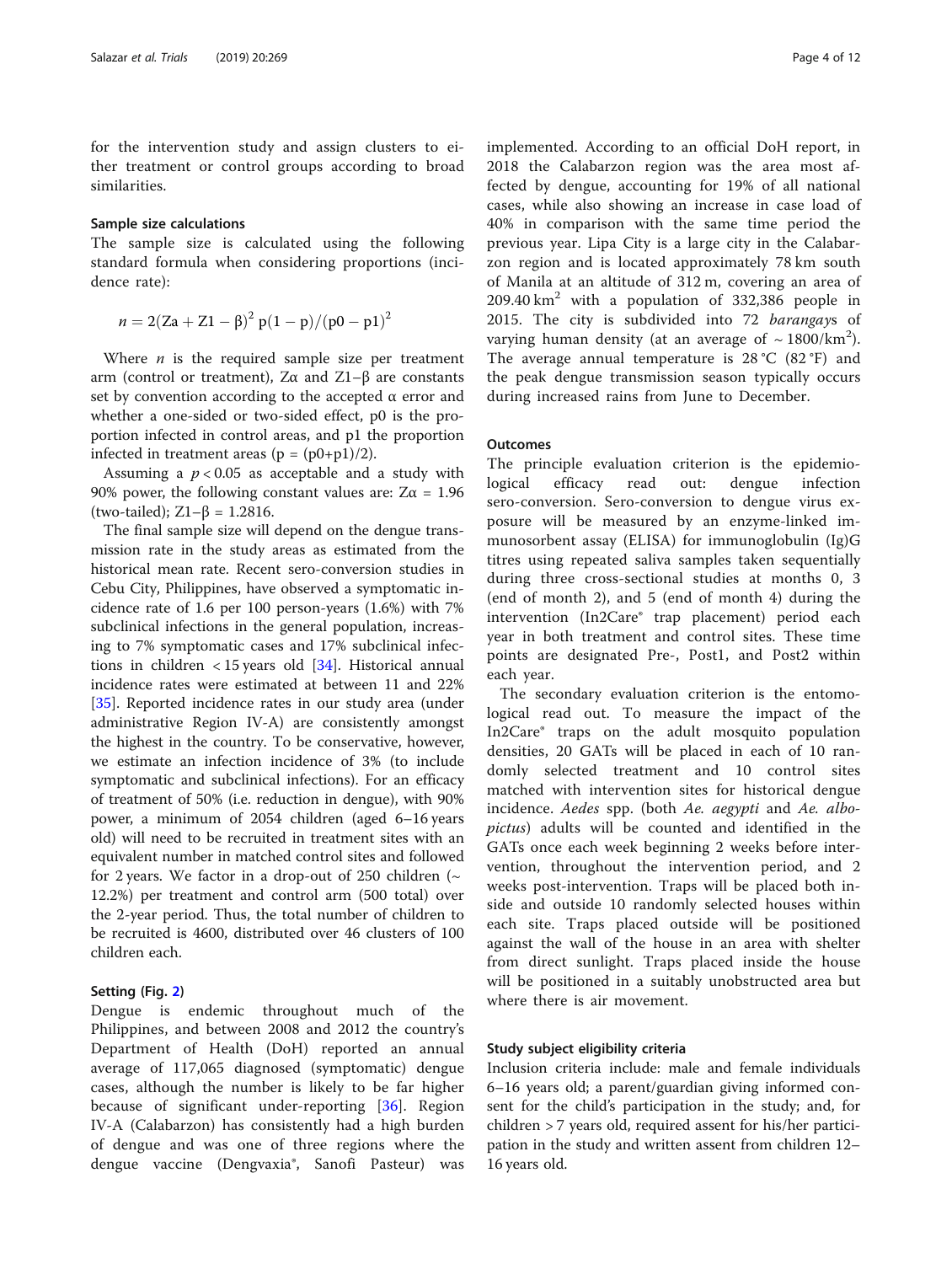<span id="page-3-0"></span>for the intervention study and assign clusters to either treatment or control groups according to broad similarities.

## Sample size calculations

The sample size is calculated using the following standard formula when considering proportions (incidence rate):

$$
n = 2(Za + Z1 - \beta)^2 p(1 - p)/(p0 - p1)^2
$$

Where  $n$  is the required sample size per treatment arm (control or treatment), Zα and Z1–β are constants set by convention according to the accepted  $\alpha$  error and whether a one-sided or two-sided effect, p0 is the proportion infected in control areas, and p1 the proportion infected in treatment areas ( $p = (p0+p1)/2$ ).

Assuming a  $p < 0.05$  as acceptable and a study with 90% power, the following constant values are:  $Z\alpha = 1.96$ (two-tailed); Z1–β = 1.2816.

The final sample size will depend on the dengue transmission rate in the study areas as estimated from the historical mean rate. Recent sero-conversion studies in Cebu City, Philippines, have observed a symptomatic incidence rate of 1.6 per 100 person-years (1.6%) with 7% subclinical infections in the general population, increasing to 7% symptomatic cases and 17% subclinical infections in children < 15 years old  $[34]$  $[34]$ . Historical annual incidence rates were estimated at between 11 and 22% [[35\]](#page-11-0). Reported incidence rates in our study area (under administrative Region IV-A) are consistently amongst the highest in the country. To be conservative, however, we estimate an infection incidence of 3% (to include symptomatic and subclinical infections). For an efficacy of treatment of 50% (i.e. reduction in dengue), with 90% power, a minimum of 2054 children (aged 6–16 years old) will need to be recruited in treatment sites with an equivalent number in matched control sites and followed for 2 years. We factor in a drop-out of 250 children ( $\sim$ 12.2%) per treatment and control arm (500 total) over the 2-year period. Thus, the total number of children to be recruited is 4600, distributed over 46 clusters of 100 children each.

## Setting (Fig. [2\)](#page-4-0)

Dengue is endemic throughout much of the Philippines, and between 2008 and 2012 the country's Department of Health (DoH) reported an annual average of 117,065 diagnosed (symptomatic) dengue cases, although the number is likely to be far higher because of significant under-reporting [\[36](#page-11-0)]. Region IV-A (Calabarzon) has consistently had a high burden of dengue and was one of three regions where the dengue vaccine (Dengvaxia®, Sanofi Pasteur) was implemented. According to an official DoH report, in 2018 the Calabarzon region was the area most affected by dengue, accounting for 19% of all national cases, while also showing an increase in case load of 40% in comparison with the same time period the previous year. Lipa City is a large city in the Calabarzon region and is located approximately 78 km south of Manila at an altitude of 312 m, covering an area of  $209.40 \text{ km}^2$  with a population of 332,386 people in 2015. The city is subdivided into 72 barangays of varying human density (at an average of  $\sim 1800/km^2$ ). The average annual temperature is  $28\text{ °C}$  (82 °F) and the peak dengue transmission season typically occurs during increased rains from June to December.

#### **Outcomes**

The principle evaluation criterion is the epidemiological efficacy read out: dengue infection sero-conversion. Sero-conversion to dengue virus exposure will be measured by an enzyme-linked immunosorbent assay (ELISA) for immunoglobulin (Ig)G titres using repeated saliva samples taken sequentially during three cross-sectional studies at months 0, 3 (end of month 2), and 5 (end of month 4) during the intervention (In2Care® trap placement) period each year in both treatment and control sites. These time points are designated Pre-, Post1, and Post2 within each year.

The secondary evaluation criterion is the entomological read out. To measure the impact of the In2Care® traps on the adult mosquito population densities, 20 GATs will be placed in each of 10 randomly selected treatment and 10 control sites matched with intervention sites for historical dengue incidence. Aedes spp. (both Ae. aegypti and Ae. albopictus) adults will be counted and identified in the GATs once each week beginning 2 weeks before intervention, throughout the intervention period, and 2 weeks post-intervention. Traps will be placed both inside and outside 10 randomly selected houses within each site. Traps placed outside will be positioned against the wall of the house in an area with shelter from direct sunlight. Traps placed inside the house will be positioned in a suitably unobstructed area but where there is air movement.

#### Study subject eligibility criteria

Inclusion criteria include: male and female individuals 6–16 years old; a parent/guardian giving informed consent for the child's participation in the study; and, for children > 7 years old, required assent for his/her participation in the study and written assent from children 12– 16 years old.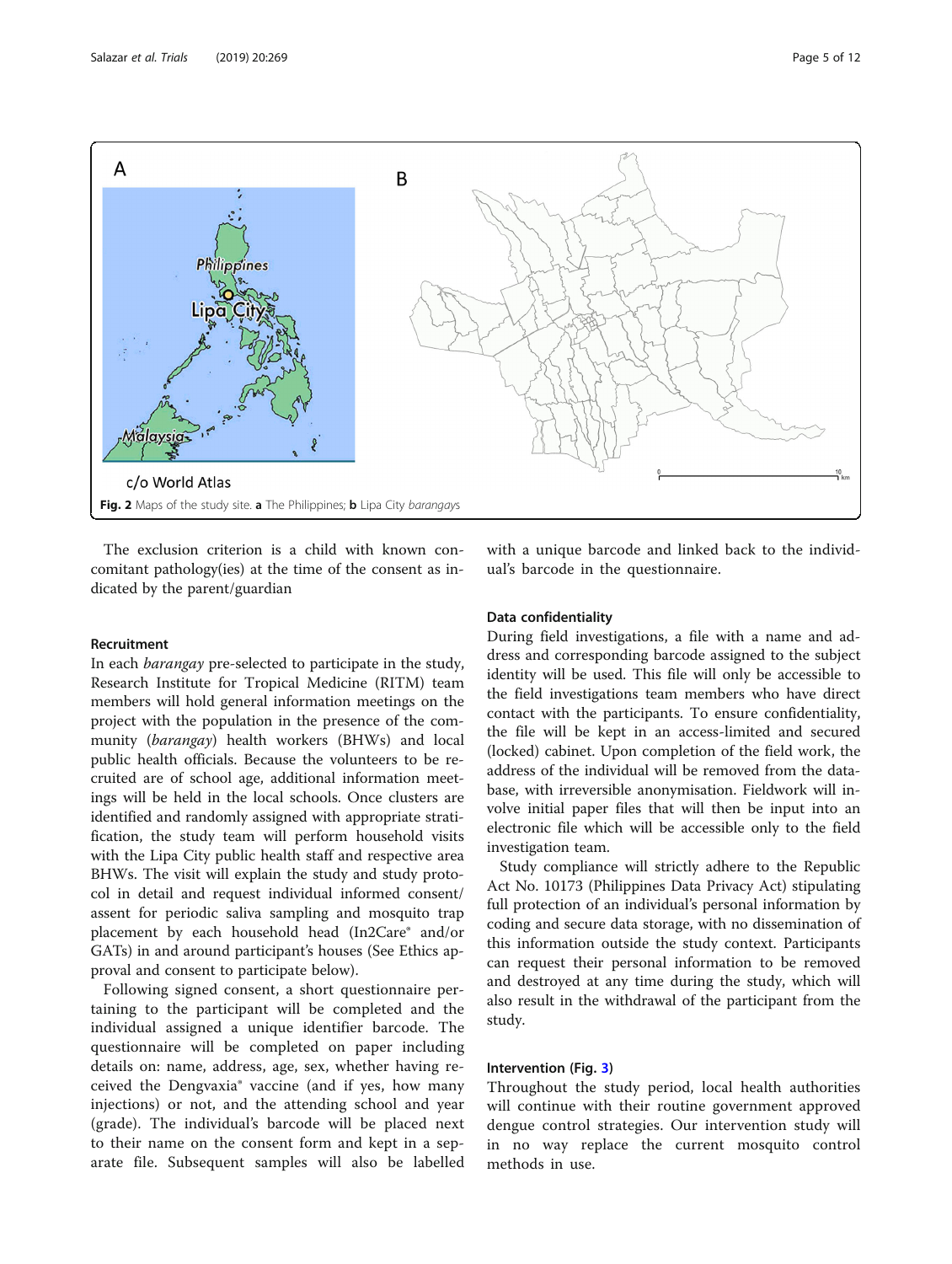<span id="page-4-0"></span>

The exclusion criterion is a child with known concomitant pathology(ies) at the time of the consent as indicated by the parent/guardian

## Recruitment

In each barangay pre-selected to participate in the study, Research Institute for Tropical Medicine (RITM) team members will hold general information meetings on the project with the population in the presence of the community (barangay) health workers (BHWs) and local public health officials. Because the volunteers to be recruited are of school age, additional information meetings will be held in the local schools. Once clusters are identified and randomly assigned with appropriate stratification, the study team will perform household visits with the Lipa City public health staff and respective area BHWs. The visit will explain the study and study protocol in detail and request individual informed consent/ assent for periodic saliva sampling and mosquito trap placement by each household head (In2Care® and/or GATs) in and around participant's houses (See Ethics approval and consent to participate below).

Following signed consent, a short questionnaire pertaining to the participant will be completed and the individual assigned a unique identifier barcode. The questionnaire will be completed on paper including details on: name, address, age, sex, whether having received the Dengvaxia® vaccine (and if yes, how many injections) or not, and the attending school and year (grade). The individual's barcode will be placed next to their name on the consent form and kept in a separate file. Subsequent samples will also be labelled with a unique barcode and linked back to the individual's barcode in the questionnaire.

#### Data confidentiality

During field investigations, a file with a name and address and corresponding barcode assigned to the subject identity will be used. This file will only be accessible to the field investigations team members who have direct contact with the participants. To ensure confidentiality, the file will be kept in an access-limited and secured (locked) cabinet. Upon completion of the field work, the address of the individual will be removed from the database, with irreversible anonymisation. Fieldwork will involve initial paper files that will then be input into an electronic file which will be accessible only to the field investigation team.

Study compliance will strictly adhere to the Republic Act No. 10173 (Philippines Data Privacy Act) stipulating full protection of an individual's personal information by coding and secure data storage, with no dissemination of this information outside the study context. Participants can request their personal information to be removed and destroyed at any time during the study, which will also result in the withdrawal of the participant from the study.

## Intervention (Fig. [3](#page-5-0))

Throughout the study period, local health authorities will continue with their routine government approved dengue control strategies. Our intervention study will in no way replace the current mosquito control methods in use.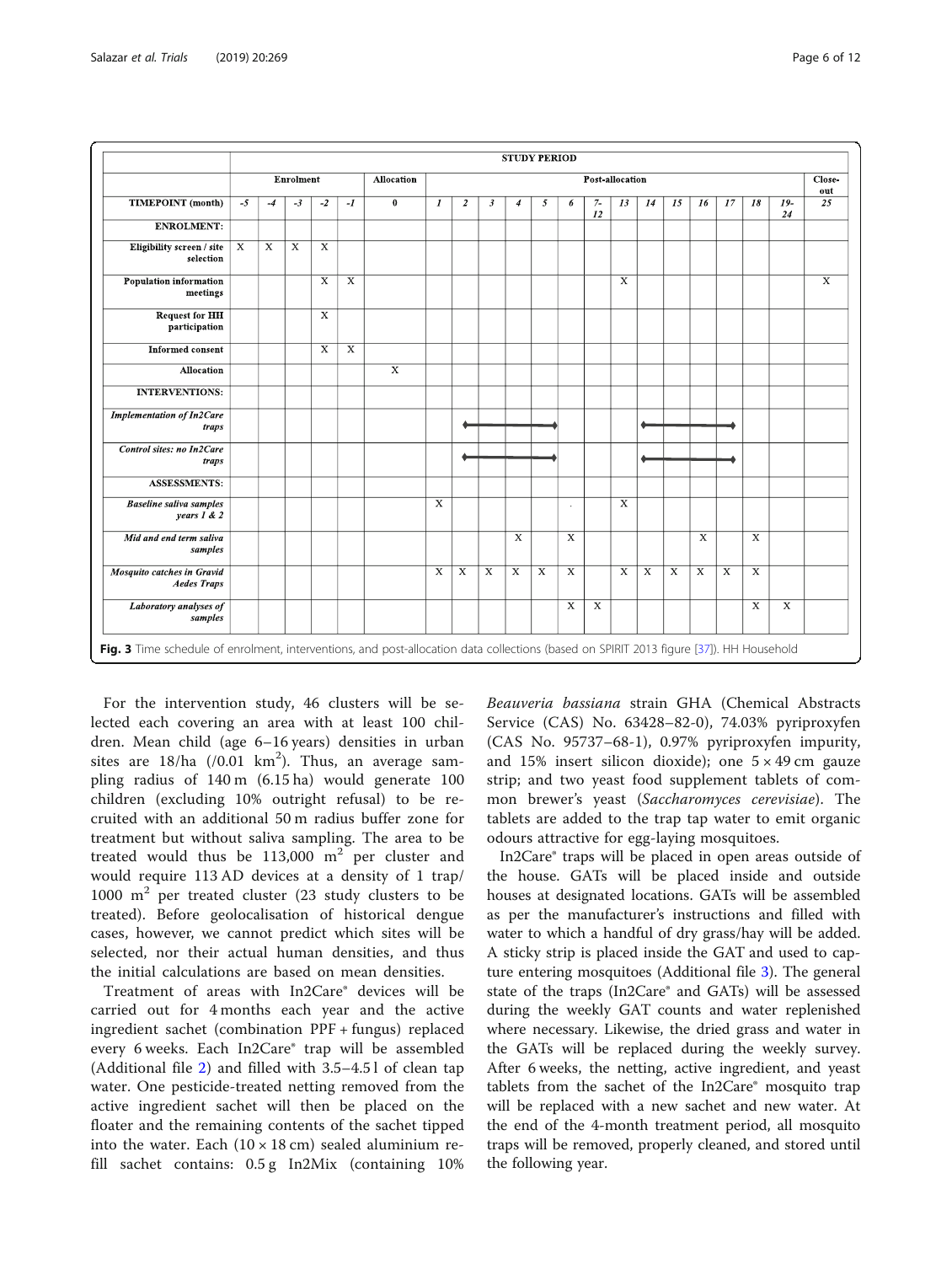<span id="page-5-0"></span>

| <b>TIMEPOINT</b> (month)                         | <b>Enrolment</b>        |                |                |                |                | <b>Allocation</b> | <b>Post-allocation</b><br>Close- |                |                |                |                |                |                |                |                |                |                         |                |                         |                           |                         |
|--------------------------------------------------|-------------------------|----------------|----------------|----------------|----------------|-------------------|----------------------------------|----------------|----------------|----------------|----------------|----------------|----------------|----------------|----------------|----------------|-------------------------|----------------|-------------------------|---------------------------|-------------------------|
|                                                  | $-5$                    | $-4$           | $-3$           | $-2$           | $-I$           | $\bf{0}$          | $\boldsymbol{l}$                 | $\overline{2}$ | $\mathfrak{Z}$ | $\overline{4}$ | 5              | 6              | $7 -$<br>12    | 13             | 14             | 15             | 16                      | 17             | 18                      | $19-$<br>24               | out<br>25               |
| <b>ENROLMENT:</b>                                |                         |                |                |                |                |                   |                                  |                |                |                |                |                |                |                |                |                |                         |                |                         |                           |                         |
| Eligibility screen / site<br>selection           | $\overline{\mathbf{x}}$ | $\overline{X}$ | $\overline{X}$ | $\overline{X}$ |                |                   |                                  |                |                |                |                |                |                |                |                |                |                         |                |                         |                           |                         |
| <b>Population information</b><br>meetings        |                         |                |                | $\overline{X}$ | $\overline{X}$ |                   |                                  |                |                |                |                |                |                | $\overline{X}$ |                |                |                         |                |                         |                           | $\overline{\mathbf{x}}$ |
| <b>Request for HH</b><br>participation           |                         |                |                | $\overline{X}$ |                |                   |                                  |                |                |                |                |                |                |                |                |                |                         |                |                         |                           |                         |
| <b>Informed consent</b>                          |                         |                |                | $\overline{X}$ | $\overline{X}$ |                   |                                  |                |                |                |                |                |                |                |                |                |                         |                |                         |                           |                         |
| Allocation                                       |                         |                |                |                |                | $\overline{X}$    |                                  |                |                |                |                |                |                |                |                |                |                         |                |                         |                           |                         |
| <b>INTERVENTIONS:</b>                            |                         |                |                |                |                |                   |                                  |                |                |                |                |                |                |                |                |                |                         |                |                         |                           |                         |
| <b>Implementation of In2Care</b><br>traps        |                         |                |                |                |                |                   |                                  |                |                |                |                |                |                |                |                |                |                         |                |                         |                           |                         |
| Control sites: no In2Care<br>traps               |                         |                |                |                |                |                   |                                  |                |                |                |                |                |                |                |                |                |                         |                |                         |                           |                         |
| <b>ASSESSMENTS:</b>                              |                         |                |                |                |                |                   |                                  |                |                |                |                |                |                |                |                |                |                         |                |                         |                           |                         |
| <b>Baseline saliva samples</b><br>years 1 & 2    |                         |                |                |                |                |                   | $\overline{\mathbf{X}}$          |                |                |                |                | $\cdot$        |                | $\overline{X}$ |                |                |                         |                |                         |                           |                         |
| Mid and end term saliva<br>samples               |                         |                |                |                |                |                   |                                  |                |                | $\overline{X}$ |                | $\overline{X}$ |                |                |                |                | $\overline{\mathbf{X}}$ |                | $\overline{\mathbf{X}}$ |                           |                         |
| Mosquito catches in Gravid<br><b>Aedes Traps</b> |                         |                |                |                |                |                   | $\overline{X}$                   | $\overline{X}$ | $\overline{X}$ | $\overline{X}$ | $\overline{X}$ | $\overline{X}$ |                | $\overline{X}$ | $\overline{X}$ | $\overline{X}$ | $\overline{X}$          | $\overline{X}$ | $\overline{X}$          |                           |                         |
| Laboratory analyses of<br>samples                |                         |                |                |                |                |                   |                                  |                |                |                |                | $\overline{X}$ | $\overline{X}$ |                |                |                |                         |                | $\overline{X}$          | $\boldsymbol{\mathrm{X}}$ |                         |

For the intervention study, 46 clusters will be selected each covering an area with at least 100 children. Mean child (age 6–16 years) densities in urban sites are  $18/ha$  (/0.01  $km<sup>2</sup>$ ). Thus, an average sampling radius of 140 m (6.15 ha) would generate 100 children (excluding 10% outright refusal) to be recruited with an additional 50 m radius buffer zone for treatment but without saliva sampling. The area to be treated would thus be  $113,000$  m<sup>2</sup> per cluster and would require 113 AD devices at a density of 1 trap/  $1000 \text{ m}^2$  per treated cluster (23 study clusters to be treated). Before geolocalisation of historical dengue cases, however, we cannot predict which sites will be selected, nor their actual human densities, and thus the initial calculations are based on mean densities.

Treatment of areas with In2Care® devices will be carried out for 4 months each year and the active ingredient sachet (combination PPF + fungus) replaced every 6 weeks. Each In2Care® trap will be assembled (Additional file [2](#page-9-0)) and filled with 3.5–4.5 l of clean tap water. One pesticide-treated netting removed from the active ingredient sachet will then be placed on the floater and the remaining contents of the sachet tipped into the water. Each  $(10 \times 18 \text{ cm})$  sealed aluminium refill sachet contains: 0.5 g In2Mix (containing 10% Beauveria bassiana strain GHA (Chemical Abstracts Service (CAS) No. 63428–82-0), 74.03% pyriproxyfen (CAS No. 95737–68-1), 0.97% pyriproxyfen impurity, and 15% insert silicon dioxide); one  $5 \times 49$  cm gauze strip; and two yeast food supplement tablets of common brewer's yeast (Saccharomyces cerevisiae). The tablets are added to the trap tap water to emit organic odours attractive for egg-laying mosquitoes.

In2Care® traps will be placed in open areas outside of the house. GATs will be placed inside and outside houses at designated locations. GATs will be assembled as per the manufacturer's instructions and filled with water to which a handful of dry grass/hay will be added. A sticky strip is placed inside the GAT and used to capture entering mosquitoes (Additional file [3](#page-9-0)). The general state of the traps (In2Care® and GATs) will be assessed during the weekly GAT counts and water replenished where necessary. Likewise, the dried grass and water in the GATs will be replaced during the weekly survey. After 6 weeks, the netting, active ingredient, and yeast tablets from the sachet of the In2Care® mosquito trap will be replaced with a new sachet and new water. At the end of the 4-month treatment period, all mosquito traps will be removed, properly cleaned, and stored until the following year.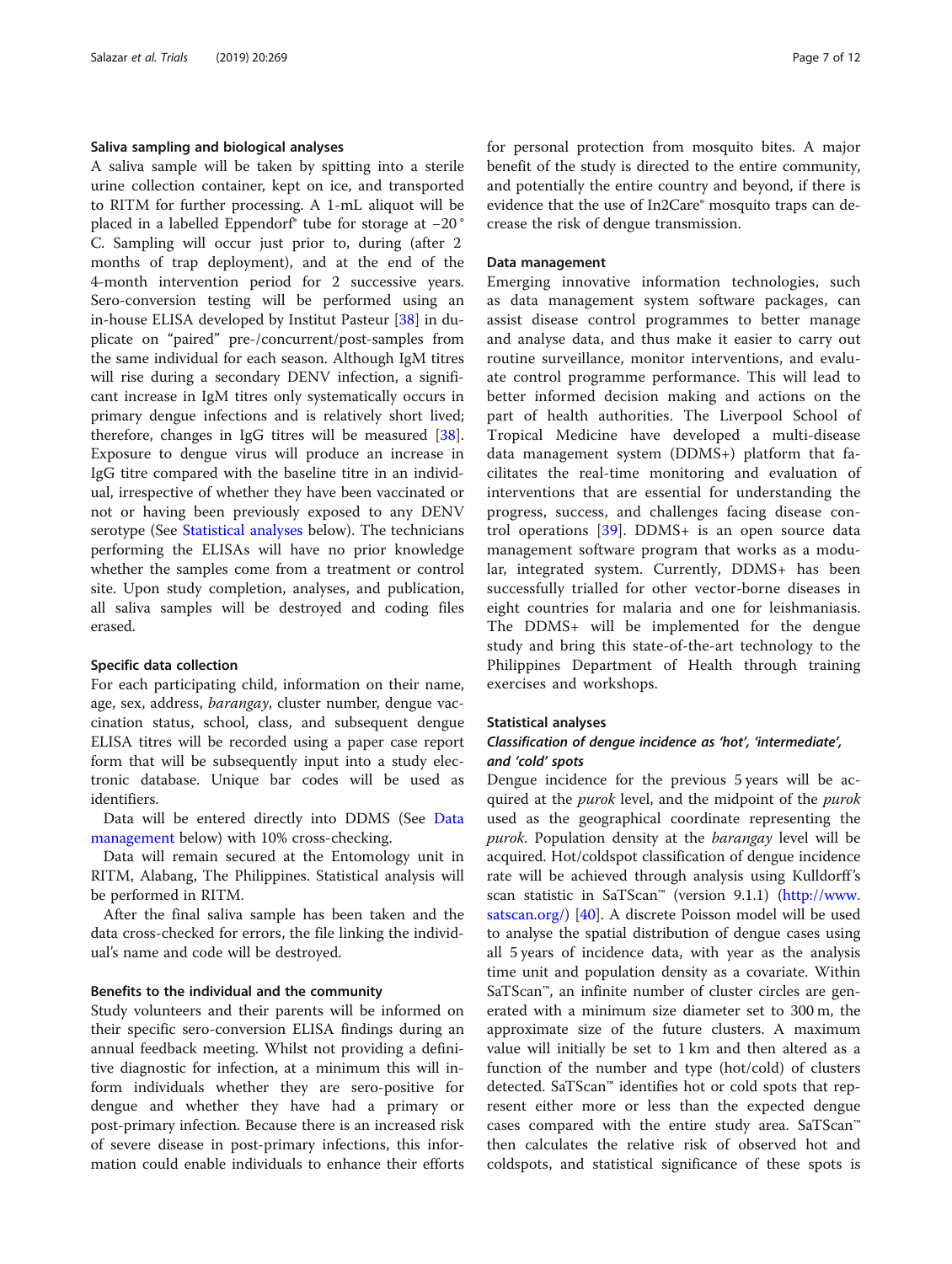## <span id="page-6-0"></span>Saliva sampling and biological analyses

A saliva sample will be taken by spitting into a sterile urine collection container, kept on ice, and transported to RITM for further processing. A 1-mL aliquot will be placed in a labelled Eppendorf® tube for storage at −20 ° C. Sampling will occur just prior to, during (after 2 months of trap deployment), and at the end of the 4-month intervention period for 2 successive years. Sero-conversion testing will be performed using an in-house ELISA developed by Institut Pasteur [[38\]](#page-11-0) in duplicate on "paired" pre-/concurrent/post-samples from the same individual for each season. Although IgM titres will rise during a secondary DENV infection, a significant increase in IgM titres only systematically occurs in primary dengue infections and is relatively short lived; therefore, changes in IgG titres will be measured [\[38](#page-11-0)]. Exposure to dengue virus will produce an increase in IgG titre compared with the baseline titre in an individual, irrespective of whether they have been vaccinated or not or having been previously exposed to any DENV serotype (See Statistical analyses below). The technicians performing the ELISAs will have no prior knowledge whether the samples come from a treatment or control site. Upon study completion, analyses, and publication, all saliva samples will be destroyed and coding files erased.

#### Specific data collection

For each participating child, information on their name, age, sex, address, barangay, cluster number, dengue vaccination status, school, class, and subsequent dengue ELISA titres will be recorded using a paper case report form that will be subsequently input into a study electronic database. Unique bar codes will be used as identifiers.

Data will be entered directly into DDMS (See Data management below) with 10% cross-checking.

Data will remain secured at the Entomology unit in RITM, Alabang, The Philippines. Statistical analysis will be performed in RITM.

After the final saliva sample has been taken and the data cross-checked for errors, the file linking the individual's name and code will be destroyed.

#### Benefits to the individual and the community

Study volunteers and their parents will be informed on their specific sero-conversion ELISA findings during an annual feedback meeting. Whilst not providing a definitive diagnostic for infection, at a minimum this will inform individuals whether they are sero-positive for dengue and whether they have had a primary or post-primary infection. Because there is an increased risk of severe disease in post-primary infections, this information could enable individuals to enhance their efforts for personal protection from mosquito bites. A major benefit of the study is directed to the entire community, and potentially the entire country and beyond, if there is evidence that the use of In2Care® mosquito traps can decrease the risk of dengue transmission.

#### Data management

Emerging innovative information technologies, such as data management system software packages, can assist disease control programmes to better manage and analyse data, and thus make it easier to carry out routine surveillance, monitor interventions, and evaluate control programme performance. This will lead to better informed decision making and actions on the part of health authorities. The Liverpool School of Tropical Medicine have developed a multi-disease data management system (DDMS+) platform that facilitates the real-time monitoring and evaluation of interventions that are essential for understanding the progress, success, and challenges facing disease control operations [[39\]](#page-11-0). DDMS+ is an open source data management software program that works as a modular, integrated system. Currently, DDMS+ has been successfully trialled for other vector-borne diseases in eight countries for malaria and one for leishmaniasis. The DDMS+ will be implemented for the dengue study and bring this state-of-the-art technology to the Philippines Department of Health through training exercises and workshops.

#### Statistical analyses

## Classification of dengue incidence as 'hot', 'intermediate', and 'cold' spots

Dengue incidence for the previous 5 years will be acquired at the *purok* level, and the midpoint of the *purok* used as the geographical coordinate representing the purok. Population density at the barangay level will be acquired. Hot/coldspot classification of dengue incidence rate will be achieved through analysis using Kulldorff's scan statistic in SaTScan™ (version 9.1.1) ([http://www.](http://www.satscan.org/) [satscan.org/](http://www.satscan.org/)) [[40\]](#page-11-0). A discrete Poisson model will be used to analyse the spatial distribution of dengue cases using all 5 years of incidence data, with year as the analysis time unit and population density as a covariate. Within SaTScan™, an infinite number of cluster circles are generated with a minimum size diameter set to 300 m, the approximate size of the future clusters. A maximum value will initially be set to 1 km and then altered as a function of the number and type (hot/cold) of clusters detected. SaTScan™ identifies hot or cold spots that represent either more or less than the expected dengue cases compared with the entire study area. SaTScan™ then calculates the relative risk of observed hot and coldspots, and statistical significance of these spots is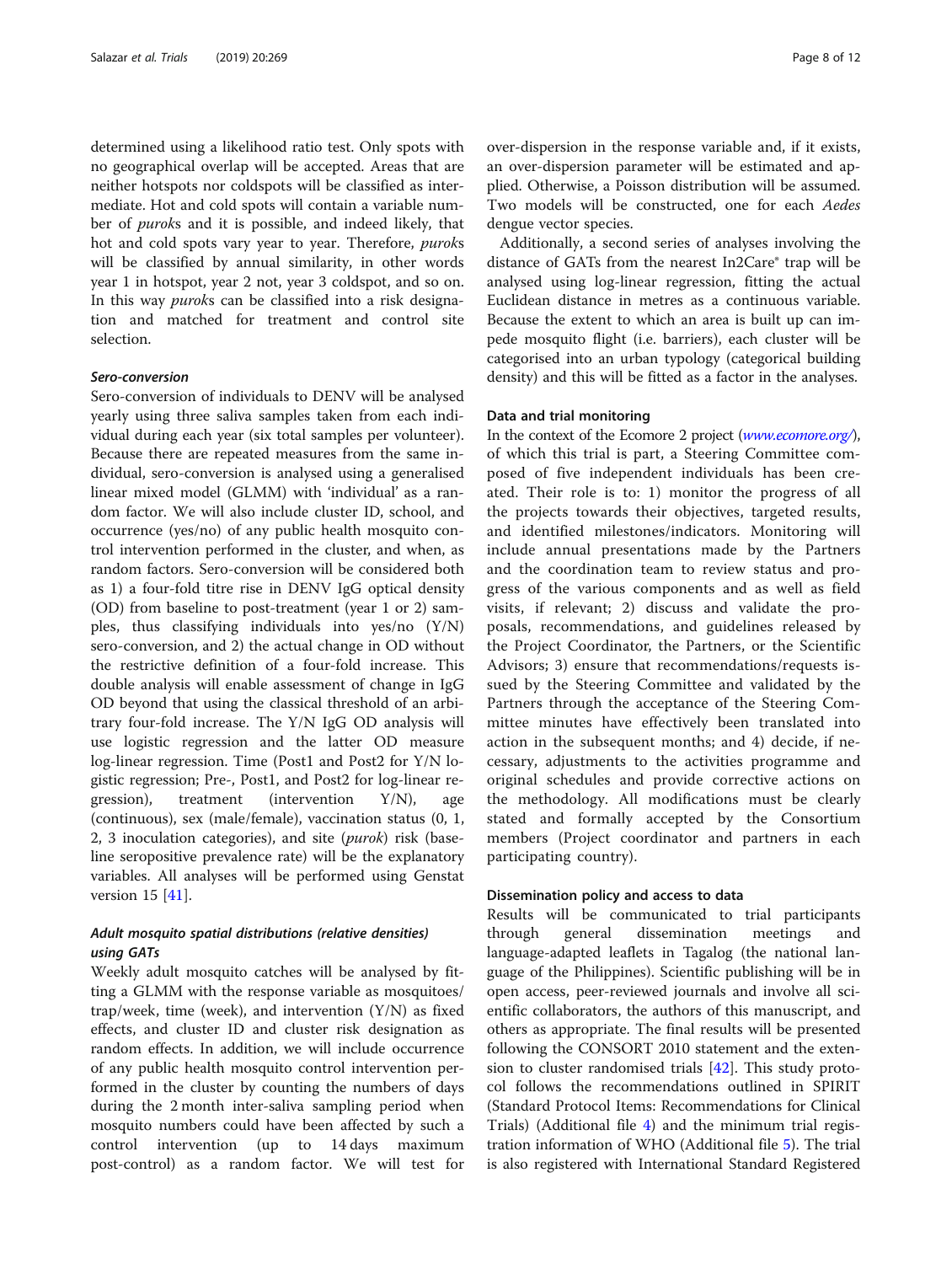determined using a likelihood ratio test. Only spots with no geographical overlap will be accepted. Areas that are neither hotspots nor coldspots will be classified as intermediate. Hot and cold spots will contain a variable number of puroks and it is possible, and indeed likely, that hot and cold spots vary year to year. Therefore, puroks will be classified by annual similarity, in other words year 1 in hotspot, year 2 not, year 3 coldspot, and so on. In this way puroks can be classified into a risk designation and matched for treatment and control site selection.

#### Sero-conversion

Sero-conversion of individuals to DENV will be analysed yearly using three saliva samples taken from each individual during each year (six total samples per volunteer). Because there are repeated measures from the same individual, sero-conversion is analysed using a generalised linear mixed model (GLMM) with 'individual' as a random factor. We will also include cluster ID, school, and occurrence (yes/no) of any public health mosquito control intervention performed in the cluster, and when, as random factors. Sero-conversion will be considered both as 1) a four-fold titre rise in DENV IgG optical density (OD) from baseline to post-treatment (year 1 or 2) samples, thus classifying individuals into yes/no (Y/N) sero-conversion, and 2) the actual change in OD without the restrictive definition of a four-fold increase. This double analysis will enable assessment of change in IgG OD beyond that using the classical threshold of an arbitrary four-fold increase. The Y/N IgG OD analysis will use logistic regression and the latter OD measure log-linear regression. Time (Post1 and Post2 for Y/N logistic regression; Pre-, Post1, and Post2 for log-linear regression), treatment (intervention Y/N), age (continuous), sex (male/female), vaccination status (0, 1, 2, 3 inoculation categories), and site (purok) risk (baseline seropositive prevalence rate) will be the explanatory variables. All analyses will be performed using Genstat version 15 [[41\]](#page-11-0).

## Adult mosquito spatial distributions (relative densities) using GATs

Weekly adult mosquito catches will be analysed by fitting a GLMM with the response variable as mosquitoes/ trap/week, time (week), and intervention  $(Y/N)$  as fixed effects, and cluster ID and cluster risk designation as random effects. In addition, we will include occurrence of any public health mosquito control intervention performed in the cluster by counting the numbers of days during the 2 month inter-saliva sampling period when mosquito numbers could have been affected by such a control intervention (up to 14 days maximum post-control) as a random factor. We will test for

over-dispersion in the response variable and, if it exists, an over-dispersion parameter will be estimated and applied. Otherwise, a Poisson distribution will be assumed. Two models will be constructed, one for each Aedes dengue vector species.

Additionally, a second series of analyses involving the distance of GATs from the nearest In2Care® trap will be analysed using log-linear regression, fitting the actual Euclidean distance in metres as a continuous variable. Because the extent to which an area is built up can impede mosquito flight (i.e. barriers), each cluster will be categorised into an urban typology (categorical building density) and this will be fitted as a factor in the analyses.

#### Data and trial monitoring

In the context of the Ecomore 2 project ([www.ecomore.org/](http://www.ecomore.org/)), of which this trial is part, a Steering Committee composed of five independent individuals has been created. Their role is to: 1) monitor the progress of all the projects towards their objectives, targeted results, and identified milestones/indicators. Monitoring will include annual presentations made by the Partners and the coordination team to review status and progress of the various components and as well as field visits, if relevant; 2) discuss and validate the proposals, recommendations, and guidelines released by the Project Coordinator, the Partners, or the Scientific Advisors; 3) ensure that recommendations/requests issued by the Steering Committee and validated by the Partners through the acceptance of the Steering Committee minutes have effectively been translated into action in the subsequent months; and 4) decide, if necessary, adjustments to the activities programme and original schedules and provide corrective actions on the methodology. All modifications must be clearly stated and formally accepted by the Consortium members (Project coordinator and partners in each participating country).

#### Dissemination policy and access to data

Results will be communicated to trial participants through general dissemination meetings and language-adapted leaflets in Tagalog (the national language of the Philippines). Scientific publishing will be in open access, peer-reviewed journals and involve all scientific collaborators, the authors of this manuscript, and others as appropriate. The final results will be presented following the CONSORT 2010 statement and the extension to cluster randomised trials  $[42]$  $[42]$  $[42]$ . This study protocol follows the recommendations outlined in SPIRIT (Standard Protocol Items: Recommendations for Clinical Trials) (Additional file [4](#page-9-0)) and the minimum trial registration information of WHO (Additional file [5\)](#page-9-0). The trial is also registered with International Standard Registered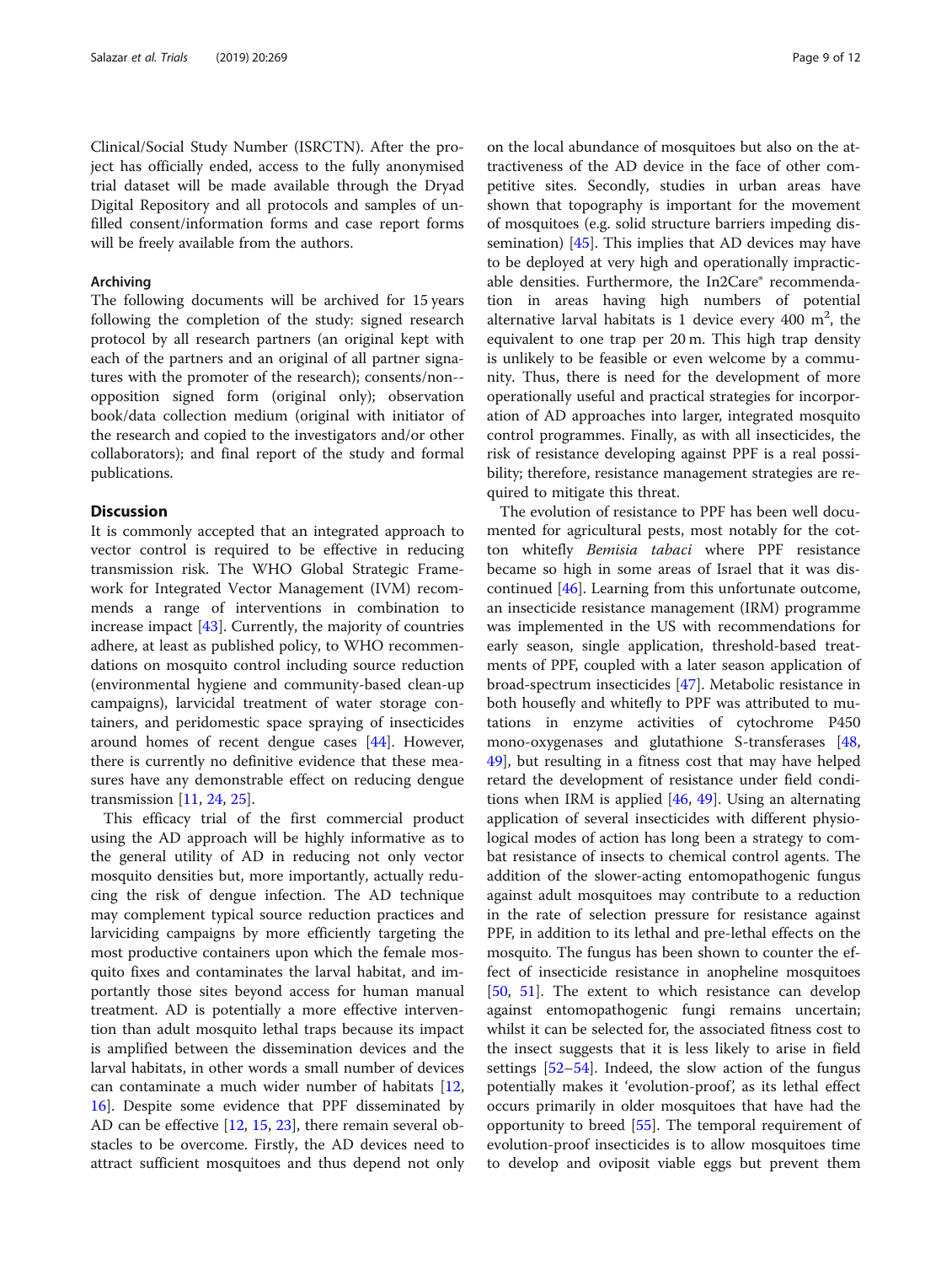Clinical/Social Study Number (ISRCTN). After the project has officially ended, access to the fully anonymised trial dataset will be made available through the Dryad Digital Repository and all protocols and samples of unfilled consent/information forms and case report forms will be freely available from the authors.

#### Archiving

The following documents will be archived for 15 years following the completion of the study: signed research protocol by all research partners (an original kept with each of the partners and an original of all partner signatures with the promoter of the research); consents/non- opposition signed form (original only); observation book/data collection medium (original with initiator of the research and copied to the investigators and/or other collaborators); and final report of the study and formal publications.

## Discussion

It is commonly accepted that an integrated approach to vector control is required to be effective in reducing transmission risk. The WHO Global Strategic Framework for Integrated Vector Management (IVM) recommends a range of interventions in combination to increase impact [[43\]](#page-11-0). Currently, the majority of countries adhere, at least as published policy, to WHO recommendations on mosquito control including source reduction (environmental hygiene and community-based clean-up campaigns), larvicidal treatment of water storage containers, and peridomestic space spraying of insecticides around homes of recent dengue cases [[44\]](#page-11-0). However, there is currently no definitive evidence that these measures have any demonstrable effect on reducing dengue transmission [[11](#page-10-0), [24](#page-11-0), [25](#page-11-0)].

This efficacy trial of the first commercial product using the AD approach will be highly informative as to the general utility of AD in reducing not only vector mosquito densities but, more importantly, actually reducing the risk of dengue infection. The AD technique may complement typical source reduction practices and larviciding campaigns by more efficiently targeting the most productive containers upon which the female mosquito fixes and contaminates the larval habitat, and importantly those sites beyond access for human manual treatment. AD is potentially a more effective intervention than adult mosquito lethal traps because its impact is amplified between the dissemination devices and the larval habitats, in other words a small number of devices can contaminate a much wider number of habitats [[12](#page-10-0), [16\]](#page-11-0). Despite some evidence that PPF disseminated by AD can be effective [[12,](#page-10-0) [15,](#page-10-0) [23](#page-11-0)], there remain several obstacles to be overcome. Firstly, the AD devices need to attract sufficient mosquitoes and thus depend not only on the local abundance of mosquitoes but also on the attractiveness of the AD device in the face of other competitive sites. Secondly, studies in urban areas have shown that topography is important for the movement of mosquitoes (e.g. solid structure barriers impeding dissemination)  $[45]$  $[45]$ . This implies that AD devices may have to be deployed at very high and operationally impracticable densities. Furthermore, the In2Care® recommendation in areas having high numbers of potential alternative larval habitats is 1 device every 400  $m^2$ , the equivalent to one trap per 20 m. This high trap density is unlikely to be feasible or even welcome by a community. Thus, there is need for the development of more operationally useful and practical strategies for incorporation of AD approaches into larger, integrated mosquito control programmes. Finally, as with all insecticides, the risk of resistance developing against PPF is a real possibility; therefore, resistance management strategies are required to mitigate this threat.

The evolution of resistance to PPF has been well documented for agricultural pests, most notably for the cotton whitefly Bemisia tabaci where PPF resistance became so high in some areas of Israel that it was discontinued [[46\]](#page-11-0). Learning from this unfortunate outcome, an insecticide resistance management (IRM) programme was implemented in the US with recommendations for early season, single application, threshold-based treatments of PPF, coupled with a later season application of broad-spectrum insecticides [[47\]](#page-11-0). Metabolic resistance in both housefly and whitefly to PPF was attributed to mutations in enzyme activities of cytochrome P450 mono-oxygenases and glutathione S-transferases [[48](#page-11-0), [49\]](#page-11-0), but resulting in a fitness cost that may have helped retard the development of resistance under field conditions when IRM is applied  $[46, 49]$  $[46, 49]$  $[46, 49]$  $[46, 49]$  $[46, 49]$ . Using an alternating application of several insecticides with different physiological modes of action has long been a strategy to combat resistance of insects to chemical control agents. The addition of the slower-acting entomopathogenic fungus against adult mosquitoes may contribute to a reduction in the rate of selection pressure for resistance against PPF, in addition to its lethal and pre-lethal effects on the mosquito. The fungus has been shown to counter the effect of insecticide resistance in anopheline mosquitoes [[50,](#page-11-0) [51](#page-11-0)]. The extent to which resistance can develop against entomopathogenic fungi remains uncertain; whilst it can be selected for, the associated fitness cost to the insect suggests that it is less likely to arise in field settings [\[52](#page-11-0)–[54\]](#page-11-0). Indeed, the slow action of the fungus potentially makes it 'evolution-proof', as its lethal effect occurs primarily in older mosquitoes that have had the opportunity to breed [[55\]](#page-11-0). The temporal requirement of evolution-proof insecticides is to allow mosquitoes time to develop and oviposit viable eggs but prevent them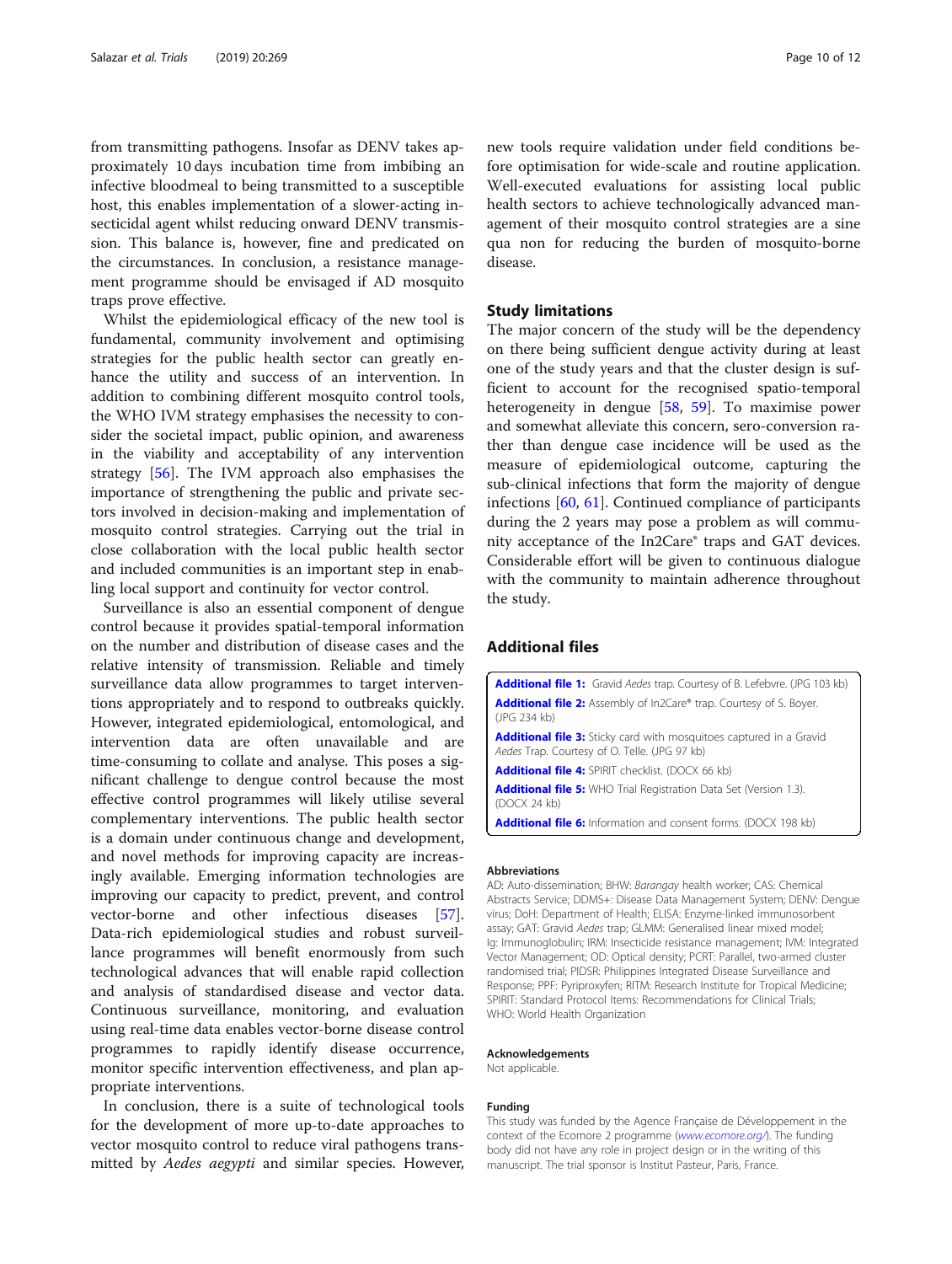<span id="page-9-0"></span>from transmitting pathogens. Insofar as DENV takes approximately 10 days incubation time from imbibing an infective bloodmeal to being transmitted to a susceptible host, this enables implementation of a slower-acting insecticidal agent whilst reducing onward DENV transmission. This balance is, however, fine and predicated on the circumstances. In conclusion, a resistance management programme should be envisaged if AD mosquito traps prove effective.

Whilst the epidemiological efficacy of the new tool is fundamental, community involvement and optimising strategies for the public health sector can greatly enhance the utility and success of an intervention. In addition to combining different mosquito control tools, the WHO IVM strategy emphasises the necessity to consider the societal impact, public opinion, and awareness in the viability and acceptability of any intervention strategy [[56\]](#page-11-0). The IVM approach also emphasises the importance of strengthening the public and private sectors involved in decision-making and implementation of mosquito control strategies. Carrying out the trial in close collaboration with the local public health sector and included communities is an important step in enabling local support and continuity for vector control.

Surveillance is also an essential component of dengue control because it provides spatial-temporal information on the number and distribution of disease cases and the relative intensity of transmission. Reliable and timely surveillance data allow programmes to target interventions appropriately and to respond to outbreaks quickly. However, integrated epidemiological, entomological, and intervention data are often unavailable and are time-consuming to collate and analyse. This poses a significant challenge to dengue control because the most effective control programmes will likely utilise several complementary interventions. The public health sector is a domain under continuous change and development, and novel methods for improving capacity are increasingly available. Emerging information technologies are improving our capacity to predict, prevent, and control vector-borne and other infectious diseases [\[57](#page-11-0)]. Data-rich epidemiological studies and robust surveillance programmes will benefit enormously from such technological advances that will enable rapid collection and analysis of standardised disease and vector data. Continuous surveillance, monitoring, and evaluation using real-time data enables vector-borne disease control programmes to rapidly identify disease occurrence, monitor specific intervention effectiveness, and plan appropriate interventions.

In conclusion, there is a suite of technological tools for the development of more up-to-date approaches to vector mosquito control to reduce viral pathogens transmitted by Aedes aegypti and similar species. However,

new tools require validation under field conditions before optimisation for wide-scale and routine application. Well-executed evaluations for assisting local public health sectors to achieve technologically advanced management of their mosquito control strategies are a sine qua non for reducing the burden of mosquito-borne disease.

## Study limitations

The major concern of the study will be the dependency on there being sufficient dengue activity during at least one of the study years and that the cluster design is sufficient to account for the recognised spatio-temporal heterogeneity in dengue [[58](#page-11-0), [59](#page-11-0)]. To maximise power and somewhat alleviate this concern, sero-conversion rather than dengue case incidence will be used as the measure of epidemiological outcome, capturing the sub-clinical infections that form the majority of dengue infections [[60](#page-11-0), [61](#page-11-0)]. Continued compliance of participants during the 2 years may pose a problem as will community acceptance of the In2Care® traps and GAT devices. Considerable effort will be given to continuous dialogue with the community to maintain adherence throughout the study.

## Additional files

[Additional file 1:](https://doi.org/10.1186/s13063-019-3376-6) Gravid Aedes trap. Courtesy of B. Lefebvre. (JPG 103 kb) [Additional file 2:](https://doi.org/10.1186/s13063-019-3376-6) Assembly of In2Care® trap. Courtesy of S. Boyer. (JPG 234 kb) [Additional file 3:](https://doi.org/10.1186/s13063-019-3376-6) Sticky card with mosquitoes captured in a Gravid Aedes Trap. Courtesy of O. Telle. (JPG 97 kb) [Additional file 4:](https://doi.org/10.1186/s13063-019-3376-6) SPIRIT checklist. (DOCX 66 kb) [Additional file 5:](https://doi.org/10.1186/s13063-019-3376-6) WHO Trial Registration Data Set (Version 1.3). (DOCX 24 kb) [Additional file 6:](https://doi.org/10.1186/s13063-019-3376-6) Information and consent forms. (DOCX 198 kb)

#### Abbreviations

AD: Auto-dissemination; BHW: Barangay health worker; CAS: Chemical Abstracts Service; DDMS+: Disease Data Management System; DENV: Dengue virus; DoH: Department of Health; ELISA: Enzyme-linked immunosorbent assay; GAT: Gravid Aedes trap; GLMM: Generalised linear mixed model; Ig: Immunoglobulin; IRM: Insecticide resistance management; IVM: Integrated Vector Management; OD: Optical density; PCRT: Parallel, two-armed cluster randomised trial; PIDSR: Philippines Integrated Disease Surveillance and Response; PPF: Pyriproxyfen; RITM: Research Institute for Tropical Medicine; SPIRIT: Standard Protocol Items: Recommendations for Clinical Trials; WHO: World Health Organization

#### Acknowledgements

Not applicable.

#### Funding

This study was funded by the Agence Française de Développement in the context of the Ecomore 2 programme ([www.ecomore.org/](http://www.ecomore.org/)). The funding body did not have any role in project design or in the writing of this manuscript. The trial sponsor is Institut Pasteur, Paris, France.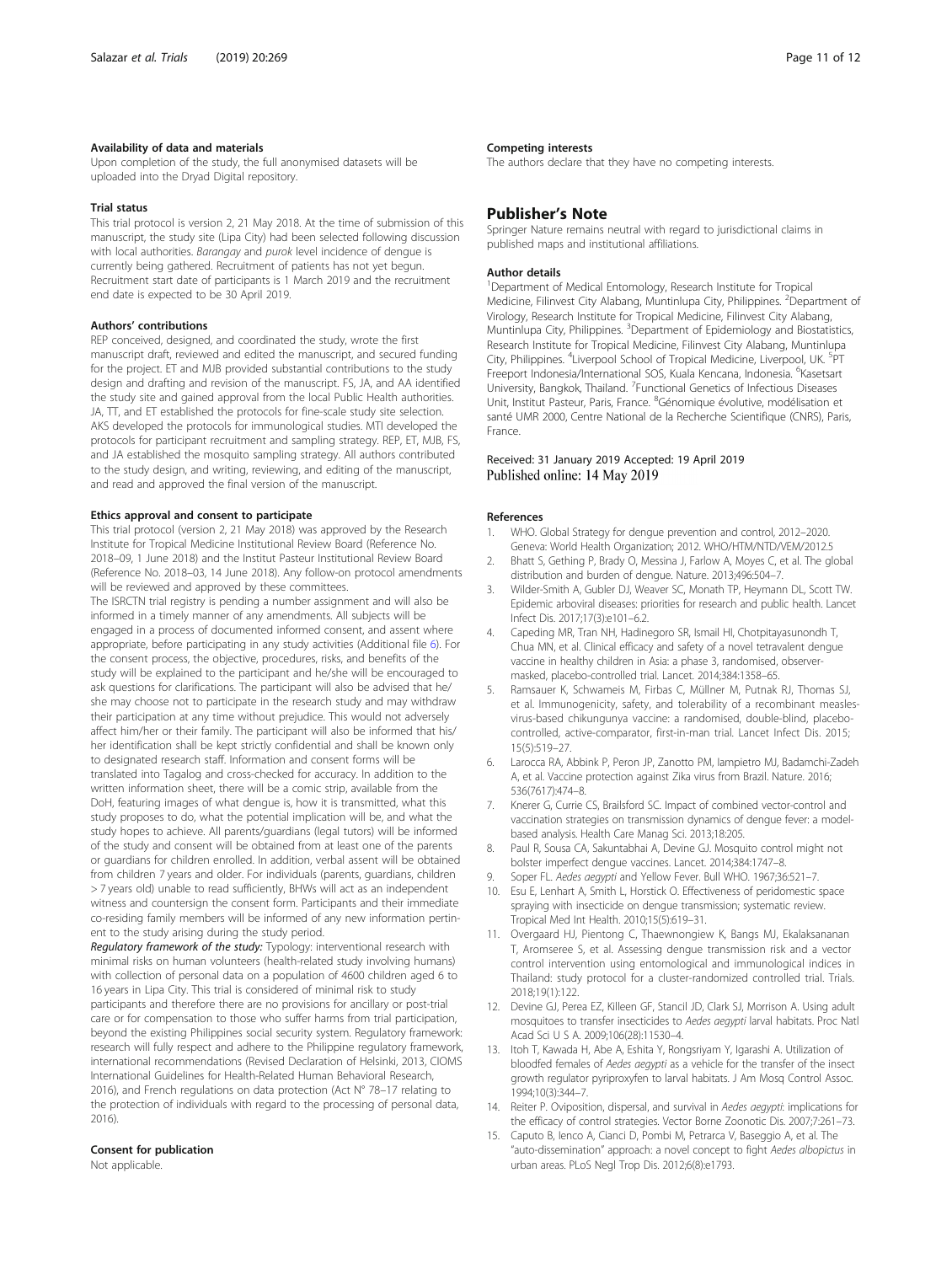#### <span id="page-10-0"></span>Availability of data and materials

Upon completion of the study, the full anonymised datasets will be uploaded into the Dryad Digital repository.

#### Trial status

This trial protocol is version 2, 21 May 2018. At the time of submission of this manuscript, the study site (Lipa City) had been selected following discussion with local authorities. Barangay and purok level incidence of dengue is currently being gathered. Recruitment of patients has not yet begun. Recruitment start date of participants is 1 March 2019 and the recruitment end date is expected to be 30 April 2019.

#### Authors' contributions

REP conceived, designed, and coordinated the study, wrote the first manuscript draft, reviewed and edited the manuscript, and secured funding for the project. ET and MJB provided substantial contributions to the study design and drafting and revision of the manuscript. FS, JA, and AA identified the study site and gained approval from the local Public Health authorities. JA, TT, and ET established the protocols for fine-scale study site selection. AKS developed the protocols for immunological studies. MTI developed the protocols for participant recruitment and sampling strategy. REP, ET, MJB, FS, and JA established the mosquito sampling strategy. All authors contributed to the study design, and writing, reviewing, and editing of the manuscript, and read and approved the final version of the manuscript.

#### Ethics approval and consent to participate

This trial protocol (version 2, 21 May 2018) was approved by the Research Institute for Tropical Medicine Institutional Review Board (Reference No. 2018–09, 1 June 2018) and the Institut Pasteur Institutional Review Board (Reference No. 2018–03, 14 June 2018). Any follow-on protocol amendments will be reviewed and approved by these committees.

The ISRCTN trial registry is pending a number assignment and will also be informed in a timely manner of any amendments. All subjects will be engaged in a process of documented informed consent, and assent where appropriate, before participating in any study activities (Additional file [6\)](#page-9-0). For the consent process, the objective, procedures, risks, and benefits of the study will be explained to the participant and he/she will be encouraged to ask questions for clarifications. The participant will also be advised that he/ she may choose not to participate in the research study and may withdraw their participation at any time without prejudice. This would not adversely affect him/her or their family. The participant will also be informed that his/ her identification shall be kept strictly confidential and shall be known only to designated research staff. Information and consent forms will be translated into Tagalog and cross-checked for accuracy. In addition to the written information sheet, there will be a comic strip, available from the DoH, featuring images of what dengue is, how it is transmitted, what this study proposes to do, what the potential implication will be, and what the study hopes to achieve. All parents/guardians (legal tutors) will be informed of the study and consent will be obtained from at least one of the parents or guardians for children enrolled. In addition, verbal assent will be obtained from children 7 years and older. For individuals (parents, guardians, children > 7 years old) unable to read sufficiently, BHWs will act as an independent witness and countersign the consent form. Participants and their immediate co-residing family members will be informed of any new information pertinent to the study arising during the study period.

Regulatory framework of the study: Typology: interventional research with minimal risks on human volunteers (health-related study involving humans) with collection of personal data on a population of 4600 children aged 6 to 16 years in Lipa City. This trial is considered of minimal risk to study participants and therefore there are no provisions for ancillary or post-trial care or for compensation to those who suffer harms from trial participation, beyond the existing Philippines social security system. Regulatory framework: research will fully respect and adhere to the Philippine regulatory framework, international recommendations (Revised Declaration of Helsinki, 2013, CIOMS International Guidelines for Health-Related Human Behavioral Research, 2016), and French regulations on data protection (Act N° 78–17 relating to the protection of individuals with regard to the processing of personal data, 2016).

## Consent for publication

Not applicable.

#### Competing interests

The authors declare that they have no competing interests.

#### Publisher's Note

Springer Nature remains neutral with regard to jurisdictional claims in published maps and institutional affiliations.

#### Author details

1 Department of Medical Entomology, Research Institute for Tropical Medicine, Filinvest City Alabang, Muntinlupa City, Philippines. <sup>2</sup>Department of Virology, Research Institute for Tropical Medicine, Filinvest City Alabang, Muntinlupa City, Philippines. <sup>3</sup>Department of Epidemiology and Biostatistics, Research Institute for Tropical Medicine, Filinvest City Alabang, Muntinlupa City, Philippines. <sup>4</sup>Liverpool School of Tropical Medicine, Liverpool, UK. <sup>5</sup>PT Freeport Indonesia/International SOS, Kuala Kencana, Indonesia. <sup>6</sup>Kasetsart University, Bangkok, Thailand. <sup>7</sup> Functional Genetics of Infectious Diseases Unit, Institut Pasteur, Paris, France. <sup>8</sup>Génomique évolutive, modélisation et santé UMR 2000, Centre National de la Recherche Scientifique (CNRS), Paris, France.

## Received: 31 January 2019 Accepted: 19 April 2019 Published online: 14 May 2019

#### References

- 1. WHO. Global Strategy for dengue prevention and control, 2012–2020. Geneva: World Health Organization; 2012. WHO/HTM/NTD/VEM/2012.5
- 2. Bhatt S, Gething P, Brady O, Messina J, Farlow A, Moyes C, et al. The global distribution and burden of dengue. Nature. 2013;496:504–7.
- 3. Wilder-Smith A, Gubler DJ, Weaver SC, Monath TP, Heymann DL, Scott TW. Epidemic arboviral diseases: priorities for research and public health. Lancet Infect Dis. 2017;17(3):e101–6.2.
- 4. Capeding MR, Tran NH, Hadinegoro SR, Ismail HI, Chotpitayasunondh T, Chua MN, et al. Clinical efficacy and safety of a novel tetravalent dengue vaccine in healthy children in Asia: a phase 3, randomised, observermasked, placebo-controlled trial. Lancet. 2014;384:1358–65.
- 5. Ramsauer K, Schwameis M, Firbas C, Müllner M, Putnak RJ, Thomas SJ, et al. Immunogenicity, safety, and tolerability of a recombinant measlesvirus-based chikungunya vaccine: a randomised, double-blind, placebocontrolled, active-comparator, first-in-man trial. Lancet Infect Dis. 2015; 15(5):519–27.
- 6. Larocca RA, Abbink P, Peron JP, Zanotto PM, Iampietro MJ, Badamchi-Zadeh A, et al. Vaccine protection against Zika virus from Brazil. Nature. 2016; 536(7617):474–8.
- 7. Knerer G, Currie CS, Brailsford SC. Impact of combined vector-control and vaccination strategies on transmission dynamics of dengue fever: a modelbased analysis. Health Care Manag Sci. 2013;18:205.
- 8. Paul R, Sousa CA, Sakuntabhai A, Devine GJ, Mosquito control might not bolster imperfect dengue vaccines. Lancet. 2014;384:1747–8.
- Soper FL. Aedes aegypti and Yellow Fever. Bull WHO. 1967;36:521-7.
- 10. Esu E, Lenhart A, Smith L, Horstick O. Effectiveness of peridomestic space spraying with insecticide on dengue transmission; systematic review. Tropical Med Int Health. 2010;15(5):619–31.
- 11. Overgaard HJ, Pientong C, Thaewnongiew K, Bangs MJ, Ekalaksananan T, Aromseree S, et al. Assessing dengue transmission risk and a vector control intervention using entomological and immunological indices in Thailand: study protocol for a cluster-randomized controlled trial. Trials. 2018;19(1):122.
- 12. Devine GJ, Perea EZ, Killeen GF, Stancil JD, Clark SJ, Morrison A. Using adult mosquitoes to transfer insecticides to Aedes aegypti larval habitats. Proc Natl Acad Sci U S A. 2009;106(28):11530–4.
- 13. Itoh T, Kawada H, Abe A, Eshita Y, Rongsriyam Y, Igarashi A. Utilization of bloodfed females of Aedes aegypti as a vehicle for the transfer of the insect growth regulator pyriproxyfen to larval habitats. J Am Mosq Control Assoc. 1994;10(3):344–7.
- 14. Reiter P. Oviposition, dispersal, and survival in Aedes aegypti: implications for the efficacy of control strategies. Vector Borne Zoonotic Dis. 2007;7:261–73.
- 15. Caputo B, Ienco A, Cianci D, Pombi M, Petrarca V, Baseggio A, et al. The "auto-dissemination" approach: a novel concept to fight Aedes albopictus in urban areas. PLoS Negl Trop Dis. 2012;6(8):e1793.